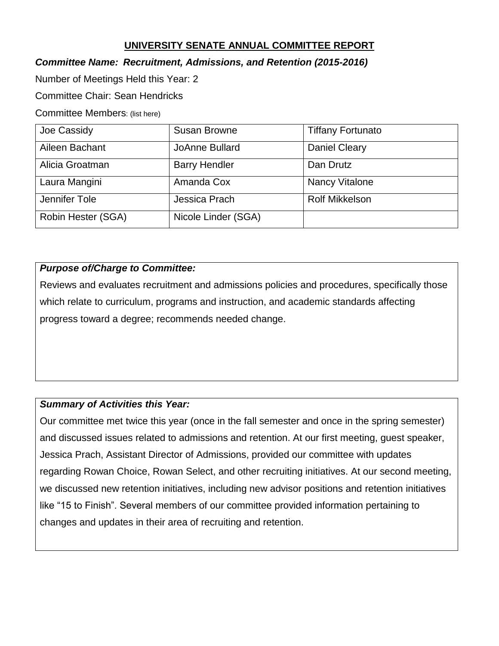# **UNIVERSITY SENATE ANNUAL COMMITTEE REPORT**

# *Committee Name: Recruitment, Admissions, and Retention (2015-2016)*

Number of Meetings Held this Year: 2

Committee Chair: Sean Hendricks

Committee Members: (list here)

| Joe Cassidy        | <b>Susan Browne</b>  | <b>Tiffany Fortunato</b> |
|--------------------|----------------------|--------------------------|
| Aileen Bachant     | JoAnne Bullard       | <b>Daniel Cleary</b>     |
| Alicia Groatman    | <b>Barry Hendler</b> | Dan Drutz                |
| Laura Mangini      | Amanda Cox           | <b>Nancy Vitalone</b>    |
| Jennifer Tole      | Jessica Prach        | <b>Rolf Mikkelson</b>    |
| Robin Hester (SGA) | Nicole Linder (SGA)  |                          |

# *Purpose of/Charge to Committee:*

Reviews and evaluates recruitment and admissions policies and procedures, specifically those which relate to curriculum, programs and instruction, and academic standards affecting progress toward a degree; recommends needed change.

# *Summary of Activities this Year:*

Our committee met twice this year (once in the fall semester and once in the spring semester) and discussed issues related to admissions and retention. At our first meeting, guest speaker, Jessica Prach, Assistant Director of Admissions, provided our committee with updates regarding Rowan Choice, Rowan Select, and other recruiting initiatives. At our second meeting, we discussed new retention initiatives, including new advisor positions and retention initiatives like "15 to Finish". Several members of our committee provided information pertaining to changes and updates in their area of recruiting and retention.